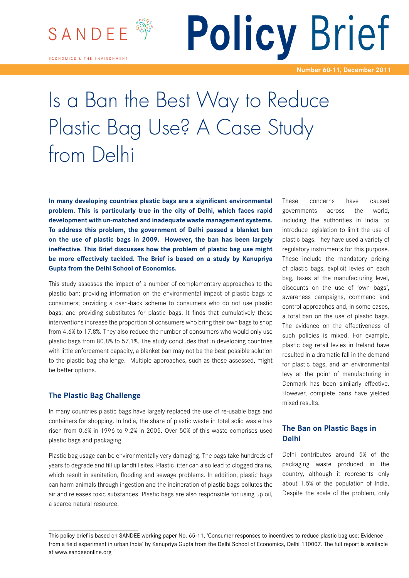

**ECONOMICS & THE ENVIRONMENT** 

**Policy** Brief

**Number 60-11, December 2011**

# Is a Ban the Best Way to Reduce Plastic Bag Use? A Case Study from Delhi

**In many developing countries plastic bags are a significant environmental problem. This is particularly true in the city of Delhi, which faces rapid development with un-matched and inadequate waste management systems. To address this problem, the government of Delhi passed a blanket ban on the use of plastic bags in 2009. However, the ban has been largely ineffective. This Brief discusses how the problem of plastic bag use might be more effectively tackled. The Brief is based on a study by Kanupriya Gupta from the Delhi School of Economics.** 

This study assesses the impact of a number of complementary approaches to the plastic ban: providing information on the environmental impact of plastic bags to consumers; providing a cash-back scheme to consumers who do not use plastic bags; and providing substitutes for plastic bags. It finds that cumulatively these interventions increase the proportion of consumers who bring their own bags to shop from 4.6% to 17.8%. They also reduce the number of consumers who would only use plastic bags from 80.8% to 57.1%. The study concludes that in developing countries with little enforcement capacity, a blanket ban may not be the best possible solution to the plastic bag challenge. Multiple approaches, such as those assessed, might be better options.

## **The Plastic Bag Challenge**

In many countries plastic bags have largely replaced the use of re-usable bags and containers for shopping. In India, the share of plastic waste in total solid waste has risen from 0.6% in 1996 to 9.2% in 2005. Over 50% of this waste comprises used plastic bags and packaging.

Plastic bag usage can be environmentally very damaging. The bags take hundreds of years to degrade and fill up landfill sites. Plastic litter can also lead to clogged drains, which result in sanitation, flooding and sewage problems. In addition, plastic bags can harm animals through ingestion and the incineration of plastic bags pollutes the air and releases toxic substances. Plastic bags are also responsible for using up oil, a scarce natural resource.

These concerns have caused governments across the world, including the authorities in India, to introduce legislation to limit the use of plastic bags. They have used a variety of regulatory instruments for this purpose. These include the mandatory pricing of plastic bags, explicit levies on each bag, taxes at the manufacturing level, discounts on the use of 'own bags', awareness campaigns, command and control approaches and, in some cases, a total ban on the use of plastic bags. The evidence on the effectiveness of such policies is mixed. For example, plastic bag retail levies in Ireland have resulted in a dramatic fall in the demand for plastic bags, and an environmental levy at the point of manufacturing in Denmark has been similarly effective. However, complete bans have yielded mixed results.

## **The Ban on Plastic Bags in Delhi**

Delhi contributes around 5% of the packaging waste produced in the country, although it represents only about 1.5% of the population of India. Despite the scale of the problem, only

This policy brief is based on SANDEE working paper No. 65-11, 'Consumer responses to incentives to reduce plastic bag use: Evidence from a field experiment in urban India' by Kanupriya Gupta from the Delhi School of Economics, Delhi 110007. The full report is available at www.sandeeonline.org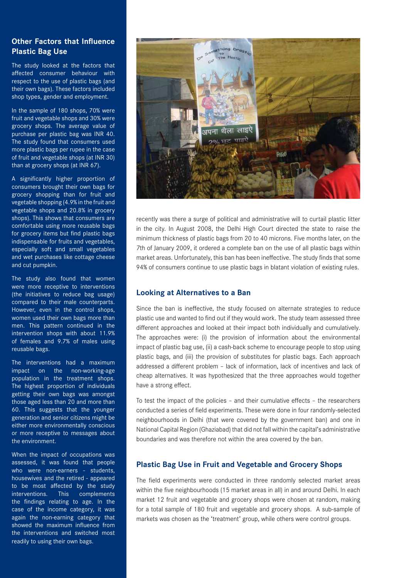## **Other Factors that Influence Plastic Bag Use**

The study looked at the factors that affected consumer behaviour with respect to the use of plastic bags (and their own bags). These factors included shop types, gender and employment.

In the sample of 180 shops, 70% were fruit and vegetable shops and 30% were grocery shops. The average value of purchase per plastic bag was INR 40. The study found that consumers used more plastic bags per rupee in the case of fruit and vegetable shops (at INR 30) than at grocery shops (at INR 67).

A significantly higher proportion of consumers brought their own bags for grocery shopping than for fruit and vegetable shopping (4.9% in the fruit and vegetable shops and 20.8% in grocery shops). This shows that consumers are comfortable using more reusable bags for grocery items but find plastic bags indispensable for fruits and vegetables, especially soft and small vegetables and wet purchases like cottage cheese and cut pumpkin.

The study also found that women were more receptive to interventions (the initiatives to reduce bag usage) compared to their male counterparts. However, even in the control shops, women used their own bags more than men. This pattern continued in the intervention shops with about 11.9% of females and 9.7% of males using reusable bags.

The interventions had a maximum impact on the non-working-age population in the treatment shops. The highest proportion of individuals getting their own bags was amongst those aged less than 20 and more than 60. This suggests that the younger generation and senior citizens might be either more environmentally conscious or more receptive to messages about the environment.

When the impact of occupations was assessed, it was found that people who were non-earners - students, housewives and the retired - appeared to be most affected by the study interventions. This complements the findings relating to age. In the case of the income category, it was again the non-earning category that showed the maximum influence from the interventions and switched most readily to using their own bags.



recently was there a surge of political and administrative will to curtail plastic litter in the city. In August 2008, the Delhi High Court directed the state to raise the minimum thickness of plastic bags from 20 to 40 microns. Five months later, on the 7th of January 2009, it ordered a complete ban on the use of all plastic bags within market areas. Unfortunately, this ban has been ineffective. The study finds that some 94% of consumers continue to use plastic bags in blatant violation of existing rules.

## **Looking at Alternatives to a Ban**

Since the ban is ineffective, the study focused on alternate strategies to reduce plastic use and wanted to find out if they would work. The study team assessed three different approaches and looked at their impact both individually and cumulatively. The approaches were: (i) the provision of information about the environmental impact of plastic bag use, (ii) a cash-back scheme to encourage people to stop using plastic bags, and (iii) the provision of substitutes for plastic bags. Each approach addressed a different problem – lack of information, lack of incentives and lack of cheap alternatives. It was hypothesized that the three approaches would together have a strong effect.

To test the impact of the policies – and their cumulative effects – the researchers conducted a series of field experiments. These were done in four randomly-selected neighbourhoods in Delhi (that were covered by the government ban) and one in National Capital Region (Ghaziabad) that did not fall within the capital's administrative boundaries and was therefore not within the area covered by the ban.

## **Plastic Bag Use in Fruit and Vegetable and Grocery Shops**

The field experiments were conducted in three randomly selected market areas within the five neighbourhoods (15 market areas in all) in and around Delhi. In each market 12 fruit and vegetable and grocery shops were chosen at random, making for a total sample of 180 fruit and vegetable and grocery shops. A sub-sample of markets was chosen as the 'treatment' group, while others were control groups.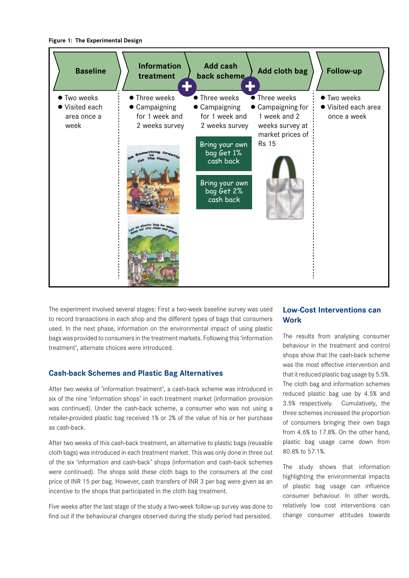#### **Figure 1: The Experimental Design**



The experiment involved several stages: First a two-week baseline survey was used to record transactions in each shop and the different types of bags that consumers used. In the next phase, information on the environmental impact of using plastic bags was provided to consumers in the treatment markets. Following this 'information treatment', alternate choices were introduced.

### **Cash-back Schemes and Plastic Bag Alternatives**

After two weeks of 'information treatment', a cash-back scheme was introduced in six of the nine 'information shops' in each treatment market (information provision was continued). Under the cash-back scheme, a consumer who was not using a retailer-provided plastic bag received 1% or 2% of the value of his or her purchase as cash-back.

After two weeks of this cash-back treatment, an alternative to plastic bags (reusable cloth bags) was introduced in each treatment market. This was only done in three out of the six 'information and cash-back' shops (information and cash-back schemes were continued). The shops sold these cloth bags to the consumers at the cost price of INR 15 per bag. However, cash transfers of INR 3 per bag were given as an incentive to the shops that participated in the cloth bag treatment.

Five weeks after the last stage of the study a two-week follow-up survey was done to find out if the behavioural changes observed during the study period had persisted.

## **Low-Cost Interventions can Work**

The results from analysing consumer behaviour in the treatment and control shops show that the cash-back scheme was the most effective intervention and that it reduced plastic bag usage by 5.5%. The cloth bag and information schemes reduced plastic bag use by 4.5% and 3.5% respectively. Cumulatively, the three schemes increased the proportion of consumers bringing their own bags from 4.6% to 17.8%. On the other hand, plastic bag usage came down from 80.8% to 57.1%.

The study shows that information highlighting the environmental impacts of plastic bag usage can influence consumer behaviour. In other words, relatively low cost interventions can change consumer attitudes towards